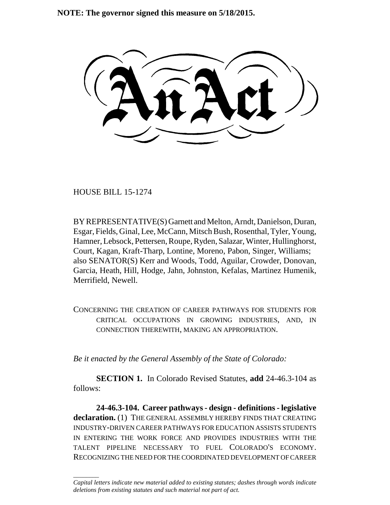**NOTE: The governor signed this measure on 5/18/2015.**

HOUSE BILL 15-1274

\_\_\_\_\_\_\_\_

BY REPRESENTATIVE(S) Garnett and Melton, Arndt, Danielson, Duran, Esgar, Fields, Ginal, Lee, McCann, Mitsch Bush, Rosenthal, Tyler, Young, Hamner, Lebsock, Pettersen, Roupe, Ryden, Salazar, Winter, Hullinghorst, Court, Kagan, Kraft-Tharp, Lontine, Moreno, Pabon, Singer, Williams; also SENATOR(S) Kerr and Woods, Todd, Aguilar, Crowder, Donovan, Garcia, Heath, Hill, Hodge, Jahn, Johnston, Kefalas, Martinez Humenik, Merrifield, Newell.

CONCERNING THE CREATION OF CAREER PATHWAYS FOR STUDENTS FOR CRITICAL OCCUPATIONS IN GROWING INDUSTRIES, AND, IN CONNECTION THEREWITH, MAKING AN APPROPRIATION.

*Be it enacted by the General Assembly of the State of Colorado:*

**SECTION 1.** In Colorado Revised Statutes, **add** 24-46.3-104 as follows:

**24-46.3-104. Career pathways - design - definitions - legislative declaration.** (1) THE GENERAL ASSEMBLY HEREBY FINDS THAT CREATING INDUSTRY-DRIVEN CAREER PATHWAYS FOR EDUCATION ASSISTS STUDENTS IN ENTERING THE WORK FORCE AND PROVIDES INDUSTRIES WITH THE TALENT PIPELINE NECESSARY TO FUEL COLORADO'S ECONOMY. RECOGNIZING THE NEED FOR THE COORDINATED DEVELOPMENT OF CAREER

*Capital letters indicate new material added to existing statutes; dashes through words indicate deletions from existing statutes and such material not part of act.*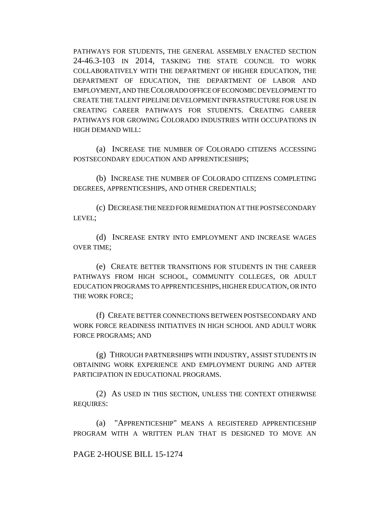PATHWAYS FOR STUDENTS, THE GENERAL ASSEMBLY ENACTED SECTION 24-46.3-103 IN 2014, TASKING THE STATE COUNCIL TO WORK COLLABORATIVELY WITH THE DEPARTMENT OF HIGHER EDUCATION, THE DEPARTMENT OF EDUCATION, THE DEPARTMENT OF LABOR AND EMPLOYMENT, AND THE COLORADO OFFICE OF ECONOMIC DEVELOPMENT TO CREATE THE TALENT PIPELINE DEVELOPMENT INFRASTRUCTURE FOR USE IN CREATING CAREER PATHWAYS FOR STUDENTS. CREATING CAREER PATHWAYS FOR GROWING COLORADO INDUSTRIES WITH OCCUPATIONS IN HIGH DEMAND WILL:

(a) INCREASE THE NUMBER OF COLORADO CITIZENS ACCESSING POSTSECONDARY EDUCATION AND APPRENTICESHIPS;

(b) INCREASE THE NUMBER OF COLORADO CITIZENS COMPLETING DEGREES, APPRENTICESHIPS, AND OTHER CREDENTIALS;

(c) DECREASE THE NEED FOR REMEDIATION AT THE POSTSECONDARY LEVEL;

(d) INCREASE ENTRY INTO EMPLOYMENT AND INCREASE WAGES OVER TIME;

(e) CREATE BETTER TRANSITIONS FOR STUDENTS IN THE CAREER PATHWAYS FROM HIGH SCHOOL, COMMUNITY COLLEGES, OR ADULT EDUCATION PROGRAMS TO APPRENTICESHIPS, HIGHER EDUCATION, OR INTO THE WORK FORCE;

(f) CREATE BETTER CONNECTIONS BETWEEN POSTSECONDARY AND WORK FORCE READINESS INITIATIVES IN HIGH SCHOOL AND ADULT WORK FORCE PROGRAMS; AND

(g) THROUGH PARTNERSHIPS WITH INDUSTRY, ASSIST STUDENTS IN OBTAINING WORK EXPERIENCE AND EMPLOYMENT DURING AND AFTER PARTICIPATION IN EDUCATIONAL PROGRAMS.

(2) AS USED IN THIS SECTION, UNLESS THE CONTEXT OTHERWISE REQUIRES:

(a) "APPRENTICESHIP" MEANS A REGISTERED APPRENTICESHIP PROGRAM WITH A WRITTEN PLAN THAT IS DESIGNED TO MOVE AN

## PAGE 2-HOUSE BILL 15-1274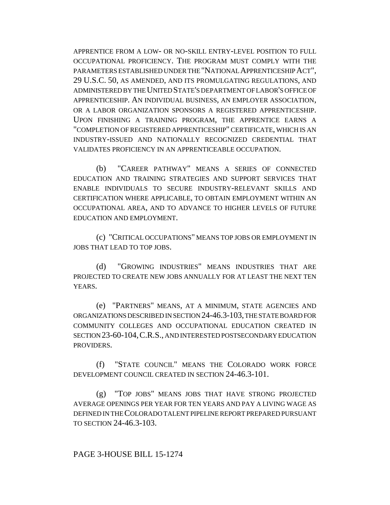APPRENTICE FROM A LOW- OR NO-SKILL ENTRY-LEVEL POSITION TO FULL OCCUPATIONAL PROFICIENCY. THE PROGRAM MUST COMPLY WITH THE PARAMETERS ESTABLISHED UNDER THE "NATIONAL APPRENTICESHIP ACT", 29 U.S.C. 50, AS AMENDED, AND ITS PROMULGATING REGULATIONS, AND ADMINISTERED BY THE UNITED STATE'S DEPARTMENT OF LABOR'S OFFICE OF APPRENTICESHIP. AN INDIVIDUAL BUSINESS, AN EMPLOYER ASSOCIATION, OR A LABOR ORGANIZATION SPONSORS A REGISTERED APPRENTICESHIP. UPON FINISHING A TRAINING PROGRAM, THE APPRENTICE EARNS A "COMPLETION OF REGISTERED APPRENTICESHIP" CERTIFICATE, WHICH IS AN INDUSTRY-ISSUED AND NATIONALLY RECOGNIZED CREDENTIAL THAT VALIDATES PROFICIENCY IN AN APPRENTICEABLE OCCUPATION.

(b) "CAREER PATHWAY" MEANS A SERIES OF CONNECTED EDUCATION AND TRAINING STRATEGIES AND SUPPORT SERVICES THAT ENABLE INDIVIDUALS TO SECURE INDUSTRY-RELEVANT SKILLS AND CERTIFICATION WHERE APPLICABLE, TO OBTAIN EMPLOYMENT WITHIN AN OCCUPATIONAL AREA, AND TO ADVANCE TO HIGHER LEVELS OF FUTURE EDUCATION AND EMPLOYMENT.

(c) "CRITICAL OCCUPATIONS" MEANS TOP JOBS OR EMPLOYMENT IN JOBS THAT LEAD TO TOP JOBS.

(d) "GROWING INDUSTRIES" MEANS INDUSTRIES THAT ARE PROJECTED TO CREATE NEW JOBS ANNUALLY FOR AT LEAST THE NEXT TEN YEARS.

(e) "PARTNERS" MEANS, AT A MINIMUM, STATE AGENCIES AND ORGANIZATIONS DESCRIBED IN SECTION 24-46.3-103, THE STATE BOARD FOR COMMUNITY COLLEGES AND OCCUPATIONAL EDUCATION CREATED IN SECTION 23-60-104,C.R.S., AND INTERESTED POSTSECONDARY EDUCATION PROVIDERS.

(f) "STATE COUNCIL" MEANS THE COLORADO WORK FORCE DEVELOPMENT COUNCIL CREATED IN SECTION 24-46.3-101.

(g) "TOP JOBS" MEANS JOBS THAT HAVE STRONG PROJECTED AVERAGE OPENINGS PER YEAR FOR TEN YEARS AND PAY A LIVING WAGE AS DEFINED IN THE COLORADO TALENT PIPELINE REPORT PREPARED PURSUANT TO SECTION 24-46.3-103.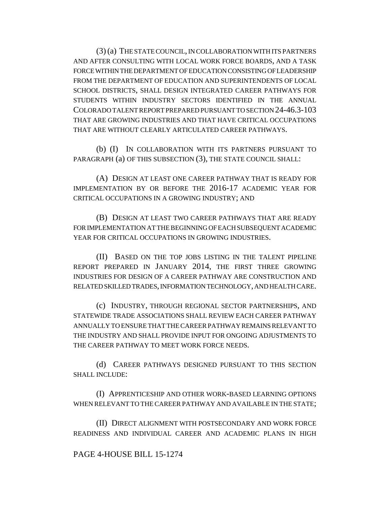(3) (a) THE STATE COUNCIL, IN COLLABORATION WITH ITS PARTNERS AND AFTER CONSULTING WITH LOCAL WORK FORCE BOARDS, AND A TASK FORCE WITHIN THE DEPARTMENT OF EDUCATION CONSISTING OF LEADERSHIP FROM THE DEPARTMENT OF EDUCATION AND SUPERINTENDENTS OF LOCAL SCHOOL DISTRICTS, SHALL DESIGN INTEGRATED CAREER PATHWAYS FOR STUDENTS WITHIN INDUSTRY SECTORS IDENTIFIED IN THE ANNUAL COLORADO TALENT REPORT PREPARED PURSUANT TO SECTION 24-46.3-103 THAT ARE GROWING INDUSTRIES AND THAT HAVE CRITICAL OCCUPATIONS THAT ARE WITHOUT CLEARLY ARTICULATED CAREER PATHWAYS.

(b) (I) IN COLLABORATION WITH ITS PARTNERS PURSUANT TO PARAGRAPH (a) OF THIS SUBSECTION (3), THE STATE COUNCIL SHALL:

(A) DESIGN AT LEAST ONE CAREER PATHWAY THAT IS READY FOR IMPLEMENTATION BY OR BEFORE THE 2016-17 ACADEMIC YEAR FOR CRITICAL OCCUPATIONS IN A GROWING INDUSTRY; AND

(B) DESIGN AT LEAST TWO CAREER PATHWAYS THAT ARE READY FOR IMPLEMENTATION AT THE BEGINNING OF EACH SUBSEQUENT ACADEMIC YEAR FOR CRITICAL OCCUPATIONS IN GROWING INDUSTRIES.

(II) BASED ON THE TOP JOBS LISTING IN THE TALENT PIPELINE REPORT PREPARED IN JANUARY 2014, THE FIRST THREE GROWING INDUSTRIES FOR DESIGN OF A CAREER PATHWAY ARE CONSTRUCTION AND RELATED SKILLED TRADES, INFORMATION TECHNOLOGY, AND HEALTH CARE.

(c) INDUSTRY, THROUGH REGIONAL SECTOR PARTNERSHIPS, AND STATEWIDE TRADE ASSOCIATIONS SHALL REVIEW EACH CAREER PATHWAY ANNUALLY TO ENSURE THAT THE CAREER PATHWAY REMAINS RELEVANT TO THE INDUSTRY AND SHALL PROVIDE INPUT FOR ONGOING ADJUSTMENTS TO THE CAREER PATHWAY TO MEET WORK FORCE NEEDS.

(d) CAREER PATHWAYS DESIGNED PURSUANT TO THIS SECTION SHALL INCLUDE:

(I) APPRENTICESHIP AND OTHER WORK-BASED LEARNING OPTIONS WHEN RELEVANT TO THE CAREER PATHWAY AND AVAILABLE IN THE STATE;

(II) DIRECT ALIGNMENT WITH POSTSECONDARY AND WORK FORCE READINESS AND INDIVIDUAL CAREER AND ACADEMIC PLANS IN HIGH

## PAGE 4-HOUSE BILL 15-1274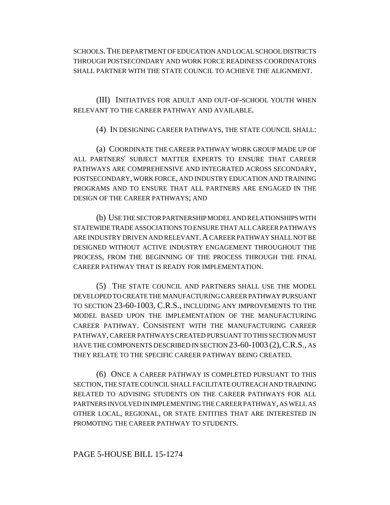SCHOOLS.THE DEPARTMENT OF EDUCATION AND LOCAL SCHOOL DISTRICTS THROUGH POSTSECONDARY AND WORK FORCE READINESS COORDINATORS SHALL PARTNER WITH THE STATE COUNCIL TO ACHIEVE THE ALIGNMENT.

(III) INITIATIVES FOR ADULT AND OUT-OF-SCHOOL YOUTH WHEN RELEVANT TO THE CAREER PATHWAY AND AVAILABLE.

(4) IN DESIGNING CAREER PATHWAYS, THE STATE COUNCIL SHALL:

(a) COORDINATE THE CAREER PATHWAY WORK GROUP MADE UP OF ALL PARTNERS' SUBJECT MATTER EXPERTS TO ENSURE THAT CAREER PATHWAYS ARE COMPREHENSIVE AND INTEGRATED ACROSS SECONDARY, POSTSECONDARY, WORK FORCE, AND INDUSTRY EDUCATION AND TRAINING PROGRAMS AND TO ENSURE THAT ALL PARTNERS ARE ENGAGED IN THE DESIGN OF THE CAREER PATHWAYS; AND

(b) USE THE SECTOR PARTNERSHIP MODEL AND RELATIONSHIPS WITH STATEWIDE TRADE ASSOCIATIONS TO ENSURE THAT ALL CAREER PATHWAYS ARE INDUSTRY DRIVEN AND RELEVANT.A CAREER PATHWAY SHALL NOT BE DESIGNED WITHOUT ACTIVE INDUSTRY ENGAGEMENT THROUGHOUT THE PROCESS, FROM THE BEGINNING OF THE PROCESS THROUGH THE FINAL CAREER PATHWAY THAT IS READY FOR IMPLEMENTATION.

(5) THE STATE COUNCIL AND PARTNERS SHALL USE THE MODEL DEVELOPED TO CREATE THE MANUFACTURING CAREER PATHWAY PURSUANT TO SECTION 23-60-1003, C.R.S., INCLUDING ANY IMPROVEMENTS TO THE MODEL BASED UPON THE IMPLEMENTATION OF THE MANUFACTURING CAREER PATHWAY. CONSISTENT WITH THE MANUFACTURING CAREER PATHWAY, CAREER PATHWAYS CREATED PURSUANT TO THIS SECTION MUST HAVE THE COMPONENTS DESCRIBED IN SECTION 23-60-1003 (2), C.R.S., AS THEY RELATE TO THE SPECIFIC CAREER PATHWAY BEING CREATED.

(6) ONCE A CAREER PATHWAY IS COMPLETED PURSUANT TO THIS SECTION, THE STATE COUNCIL SHALL FACILITATE OUTREACH AND TRAINING RELATED TO ADVISING STUDENTS ON THE CAREER PATHWAYS FOR ALL PARTNERS INVOLVED IN IMPLEMENTING THE CAREER PATHWAY, AS WELL AS OTHER LOCAL, REGIONAL, OR STATE ENTITIES THAT ARE INTERESTED IN PROMOTING THE CAREER PATHWAY TO STUDENTS.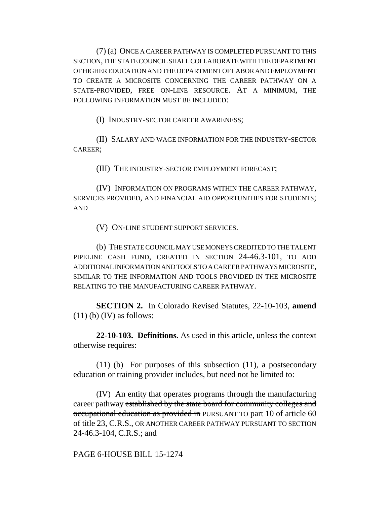(7) (a) ONCE A CAREER PATHWAY IS COMPLETED PURSUANT TO THIS SECTION, THE STATE COUNCIL SHALL COLLABORATE WITH THE DEPARTMENT OF HIGHER EDUCATION AND THE DEPARTMENT OF LABOR AND EMPLOYMENT TO CREATE A MICROSITE CONCERNING THE CAREER PATHWAY ON A STATE-PROVIDED, FREE ON-LINE RESOURCE. AT A MINIMUM, THE FOLLOWING INFORMATION MUST BE INCLUDED:

(I) INDUSTRY-SECTOR CAREER AWARENESS;

(II) SALARY AND WAGE INFORMATION FOR THE INDUSTRY-SECTOR CAREER;

(III) THE INDUSTRY-SECTOR EMPLOYMENT FORECAST;

(IV) INFORMATION ON PROGRAMS WITHIN THE CAREER PATHWAY, SERVICES PROVIDED, AND FINANCIAL AID OPPORTUNITIES FOR STUDENTS; AND

(V) ON-LINE STUDENT SUPPORT SERVICES.

(b) THE STATE COUNCIL MAY USE MONEYS CREDITED TO THE TALENT PIPELINE CASH FUND, CREATED IN SECTION 24-46.3-101, TO ADD ADDITIONAL INFORMATION AND TOOLS TO A CAREER PATHWAYS MICROSITE, SIMILAR TO THE INFORMATION AND TOOLS PROVIDED IN THE MICROSITE RELATING TO THE MANUFACTURING CAREER PATHWAY.

**SECTION 2.** In Colorado Revised Statutes, 22-10-103, **amend**  $(11)$  (b) (IV) as follows:

**22-10-103. Definitions.** As used in this article, unless the context otherwise requires:

(11) (b) For purposes of this subsection (11), a postsecondary education or training provider includes, but need not be limited to:

(IV) An entity that operates programs through the manufacturing career pathway established by the state board for community colleges and occupational education as provided in PURSUANT TO part 10 of article 60 of title 23, C.R.S., OR ANOTHER CAREER PATHWAY PURSUANT TO SECTION 24-46.3-104, C.R.S.; and

PAGE 6-HOUSE BILL 15-1274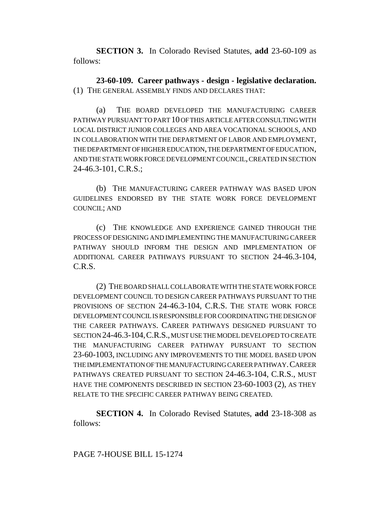**SECTION 3.** In Colorado Revised Statutes, **add** 23-60-109 as follows:

**23-60-109. Career pathways - design - legislative declaration.** (1) THE GENERAL ASSEMBLY FINDS AND DECLARES THAT:

(a) THE BOARD DEVELOPED THE MANUFACTURING CAREER PATHWAY PURSUANT TO PART 10 OF THIS ARTICLE AFTER CONSULTING WITH LOCAL DISTRICT JUNIOR COLLEGES AND AREA VOCATIONAL SCHOOLS, AND IN COLLABORATION WITH THE DEPARTMENT OF LABOR AND EMPLOYMENT, THE DEPARTMENT OF HIGHER EDUCATION, THE DEPARTMENT OF EDUCATION, AND THE STATE WORK FORCE DEVELOPMENT COUNCIL, CREATED IN SECTION 24-46.3-101, C.R.S.;

(b) THE MANUFACTURING CAREER PATHWAY WAS BASED UPON GUIDELINES ENDORSED BY THE STATE WORK FORCE DEVELOPMENT COUNCIL; AND

(c) THE KNOWLEDGE AND EXPERIENCE GAINED THROUGH THE PROCESS OF DESIGNING AND IMPLEMENTING THE MANUFACTURING CAREER PATHWAY SHOULD INFORM THE DESIGN AND IMPLEMENTATION OF ADDITIONAL CAREER PATHWAYS PURSUANT TO SECTION 24-46.3-104, C.R.S.

(2) THE BOARD SHALL COLLABORATE WITH THE STATE WORK FORCE DEVELOPMENT COUNCIL TO DESIGN CAREER PATHWAYS PURSUANT TO THE PROVISIONS OF SECTION 24-46.3-104, C.R.S. THE STATE WORK FORCE DEVELOPMENT COUNCIL IS RESPONSIBLE FOR COORDINATING THE DESIGN OF THE CAREER PATHWAYS. CAREER PATHWAYS DESIGNED PURSUANT TO SECTION 24-46.3-104,C.R.S., MUST USE THE MODEL DEVELOPED TO CREATE THE MANUFACTURING CAREER PATHWAY PURSUANT TO SECTION 23-60-1003, INCLUDING ANY IMPROVEMENTS TO THE MODEL BASED UPON THE IMPLEMENTATION OF THE MANUFACTURING CAREER PATHWAY.CAREER PATHWAYS CREATED PURSUANT TO SECTION 24-46.3-104, C.R.S., MUST HAVE THE COMPONENTS DESCRIBED IN SECTION 23-60-1003 (2), AS THEY RELATE TO THE SPECIFIC CAREER PATHWAY BEING CREATED.

**SECTION 4.** In Colorado Revised Statutes, **add** 23-18-308 as follows: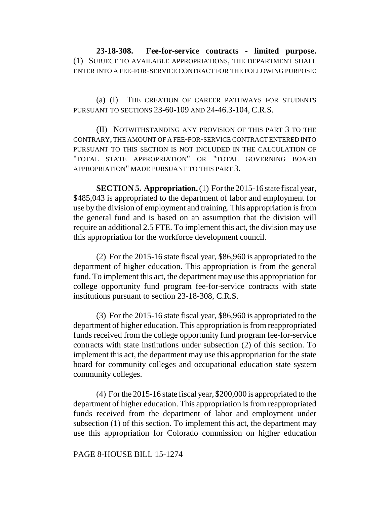**23-18-308. Fee-for-service contracts - limited purpose.** (1) SUBJECT TO AVAILABLE APPROPRIATIONS, THE DEPARTMENT SHALL ENTER INTO A FEE-FOR-SERVICE CONTRACT FOR THE FOLLOWING PURPOSE:

(a) (I) THE CREATION OF CAREER PATHWAYS FOR STUDENTS PURSUANT TO SECTIONS 23-60-109 AND 24-46.3-104, C.R.S.

(II) NOTWITHSTANDING ANY PROVISION OF THIS PART 3 TO THE CONTRARY, THE AMOUNT OF A FEE-FOR-SERVICE CONTRACT ENTERED INTO PURSUANT TO THIS SECTION IS NOT INCLUDED IN THE CALCULATION OF "TOTAL STATE APPROPRIATION" OR "TOTAL GOVERNING BOARD APPROPRIATION" MADE PURSUANT TO THIS PART 3.

**SECTION 5. Appropriation.** (1) For the 2015-16 state fiscal year, \$485,043 is appropriated to the department of labor and employment for use by the division of employment and training. This appropriation is from the general fund and is based on an assumption that the division will require an additional 2.5 FTE. To implement this act, the division may use this appropriation for the workforce development council.

(2) For the 2015-16 state fiscal year, \$86,960 is appropriated to the department of higher education. This appropriation is from the general fund. To implement this act, the department may use this appropriation for college opportunity fund program fee-for-service contracts with state institutions pursuant to section 23-18-308, C.R.S.

(3) For the 2015-16 state fiscal year, \$86,960 is appropriated to the department of higher education. This appropriation is from reappropriated funds received from the college opportunity fund program fee-for-service contracts with state institutions under subsection (2) of this section. To implement this act, the department may use this appropriation for the state board for community colleges and occupational education state system community colleges.

(4) For the 2015-16 state fiscal year, \$200,000 is appropriated to the department of higher education. This appropriation is from reappropriated funds received from the department of labor and employment under subsection (1) of this section. To implement this act, the department may use this appropriation for Colorado commission on higher education

## PAGE 8-HOUSE BILL 15-1274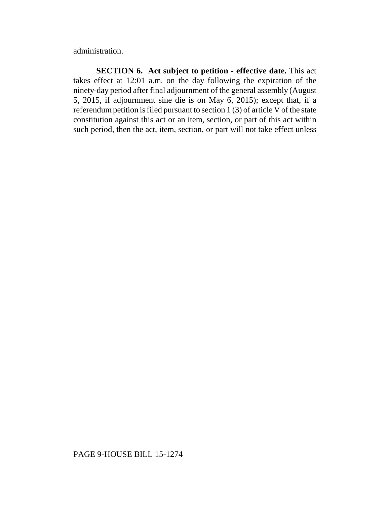administration.

**SECTION 6. Act subject to petition - effective date.** This act takes effect at 12:01 a.m. on the day following the expiration of the ninety-day period after final adjournment of the general assembly (August 5, 2015, if adjournment sine die is on May 6, 2015); except that, if a referendum petition is filed pursuant to section 1 (3) of article V of the state constitution against this act or an item, section, or part of this act within such period, then the act, item, section, or part will not take effect unless